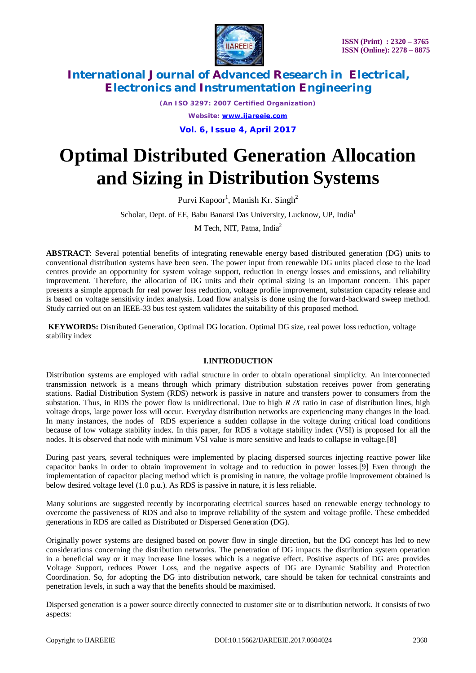

*(An ISO 3297: 2007 Certified Organization) Website: [www.ijareeie.com](http://www.ijareeie.com)* **Vol. 6, Issue 4, April 2017**

# **Optimal Distributed Generation Allocation and Sizing in Distribution Systems**

Purvi Kapoor<sup>1</sup>, Manish Kr. Singh<sup>2</sup>

Scholar, Dept. of EE, Babu Banarsi Das University, Lucknow, UP, India<sup>1</sup>

M Tech, NIT, Patna, India<sup>2</sup>

**ABSTRACT**: Several potential benefits of integrating renewable energy based distributed generation (DG) units to conventional distribution systems have been seen. The power input from renewable DG units placed close to the load centres provide an opportunity for system voltage support, reduction in energy losses and emissions, and reliability improvement. Therefore, the allocation of DG units and their optimal sizing is an important concern. This paper presents a simple approach for real power loss reduction, voltage profile improvement, substation capacity release and is based on voltage sensitivity index analysis. Load flow analysis is done using the forward-backward sweep method. Study carried out on an IEEE-33 bus test system validates the suitability of this proposed method.

**KEYWORDS:** Distributed Generation, Optimal DG location. Optimal DG size, real power loss reduction, voltage stability index

### **I.INTRODUCTION**

Distribution systems are employed with radial structure in order to obtain operational simplicity. An interconnected transmission network is a means through which primary distribution substation receives power from generating stations. Radial Distribution System (RDS) network is passive in nature and transfers power to consumers from the substation. Thus, in RDS the power flow is unidirectional. Due to high *R /X* ratio in case of distribution lines, high voltage drops, large power loss will occur. Everyday distribution networks are experiencing many changes in the load. In many instances, the nodes of RDS experience a sudden collapse in the voltage during critical load conditions because of low voltage stability index. In this paper, for RDS a voltage stability index (VSI) is proposed for all the nodes. It is observed that node with minimum VSI value is more sensitive and leads to collapse in voltage.[8]

During past years, several techniques were implemented by placing dispersed sources injecting reactive power like capacitor banks in order to obtain improvement in voltage and to reduction in power losses.[9] Even through the implementation of capacitor placing method which is promising in nature, the voltage profile improvement obtained is below desired voltage level (1.0 p.u.). As RDS is passive in nature, it is less reliable.

Many solutions are suggested recently by incorporating electrical sources based on renewable energy technology to overcome the passiveness of RDS and also to improve reliability of the system and voltage profile. These embedded generations in RDS are called as Distributed or Dispersed Generation (DG).

Originally power systems are designed based on power flow in single direction, but the DG concept has led to new considerations concerning the distribution networks. The penetration of DG impacts the distribution system operation in a beneficial way or it may increase line losses which is a negative effect. Positive aspects of DG are**:** provides Voltage Support, reduces Power Loss, and the negative aspects of DG are Dynamic Stability and Protection Coordination. So, for adopting the DG into distribution network, care should be taken for technical constraints and penetration levels, in such a way that the benefits should be maximised.

Dispersed generation is a power source directly connected to customer site or to distribution network. It consists of two aspects: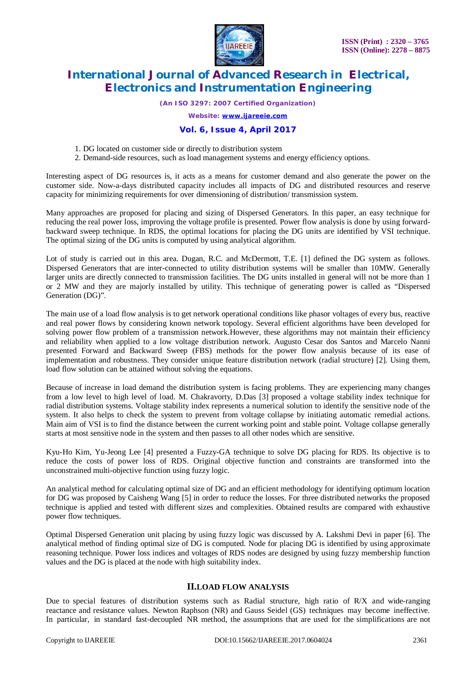

*(An ISO 3297: 2007 Certified Organization)*

*Website: [www.ijareeie.com](http://www.ijareeie.com)*

### **Vol. 6, Issue 4, April 2017**

1. DG located on customer side or directly to distribution system

2. Demand-side resources, such as load management systems and energy efficiency options.

Interesting aspect of DG resources is, it acts as a means for customer demand and also generate the power on the customer side. Now-a-days distributed capacity includes all impacts of DG and distributed resources and reserve capacity for minimizing requirements for over dimensioning of distribution/ transmission system.

Many approaches are proposed for placing and sizing of Dispersed Generators. In this paper, an easy technique for reducing the real power loss, improving the voltage profile is presented. Power flow analysis is done by using forwardbackward sweep technique. In RDS, the optimal locations for placing the DG units are identified by VSI technique. The optimal sizing of the DG units is computed by using analytical algorithm.

Lot of study is carried out in this area. Dugan, R.C. and McDermott, T.E. [1] defined the DG system as follows. Dispersed Generators that are inter-connected to utility distribution systems will be smaller than 10MW. Generally larger units are directly connected to transmission facilities. The DG units installed in general will not be more than 1 or 2 MW and they are majorly installed by utility. This technique of generating power is called as "Dispersed Generation (DG)".

The main use of a load flow analysis is to get network operational conditions like phasor voltages of every bus, reactive and real power flows by considering known network topology. Several efficient algorithms have been developed for solving power flow problem of a transmission network.However, these algorithms may not maintain their efficiency and reliability when applied to a low voltage distribution network. Augusto Cesar dos Santos and Marcelo Nanni presented Forward and Backward Sweep (FBS) methods for the power flow analysis because of its ease of implementation and robustness. They consider unique feature distribution network (radial structure) [2]. Using them, load flow solution can be attained without solving the equations.

Because of increase in load demand the distribution system is facing problems. They are experiencing many changes from a low level to high level of load. M. Chakravorty, D.Das [3] proposed a voltage stability index technique for radial distribution systems. Voltage stability index represents a numerical solution to identify the sensitive node of the system. It also helps to check the system to prevent from voltage collapse by initiating automatic remedial actions. Main aim of VSI is to find the distance between the current working point and stable point. Voltage collapse generally starts at most sensitive node in the system and then passes to all other nodes which are sensitive.

Kyu-Ho Kim, Yu-Jeong Lee [4] presented a Fuzzy-GA technique to solve DG placing for RDS. Its objective is to reduce the costs of power loss of RDS. Original objective function and constraints are transformed into the unconstrained multi-objective function using fuzzy logic.

An analytical method for calculating optimal size of DG and an efficient methodology for identifying optimum location for DG was proposed by Caisheng Wang [5] in order to reduce the losses. For three distributed networks the proposed technique is applied and tested with different sizes and complexities. Obtained results are compared with exhaustive power flow techniques.

Optimal Dispersed Generation unit placing by using fuzzy logic was discussed by A. Lakshmi Devi in paper [6]. The analytical method of finding optimal size of DG is computed. Node for placing DG is identified by using approximate reasoning technique. Power loss indices and voltages of RDS nodes are designed by using fuzzy membership function values and the DG is placed at the node with high suitability index.

## **II.LOAD FLOW ANALYSIS**

Due to special features of distribution systems such as Radial structure, high ratio of R/X and wide-ranging reactance and resistance values. Newton Raphson (NR) and Gauss Seidel (GS) techniques may become ineffective. In particular, in standard fast-decoupled NR method, the assumptions that are used for the simplifications are not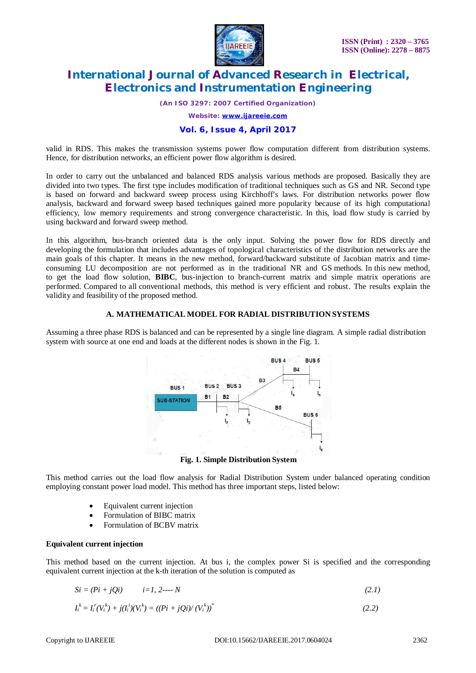

*(An ISO 3297: 2007 Certified Organization)*

*Website: [www.ijareeie.com](http://www.ijareeie.com)*

### **Vol. 6, Issue 4, April 2017**

valid in RDS. This makes the transmission systems power flow computation different from distribution systems. Hence, for distribution networks, an efficient power flow algorithm is desired.

In order to carry out the unbalanced and balanced RDS analysis various methods are proposed. Basically they are divided into two types. The first type includes modification of traditional techniques such as GS and NR. Second type is based on forward and backward sweep process using Kirchhoff's laws. For distribution networks power flow analysis, backward and forward sweep based techniques gained more popularity because of its high computational efficiency, low memory requirements and strong convergence characteristic. In this, load flow study is carried by using backward and forward sweep method.

In this algorithm, bus-branch oriented data is the only input. Solving the power flow for RDS directly and developing the formulation that includes advantages of topological characteristics of the distribution networks are the main goals of this chapter. It means in the new method, forward/backward substitute of Jacobian matrix and timeconsuming LU decomposition are not performed as in the traditional NR and GS methods. In this new method, to get the load flow solution, **BIBC**, bus-injection to branch-current matrix and simple matrix operations are performed. Compared to all conventional methods, this method is very efficient and robust. The results explain the validity and feasibility of the proposed method.

### **A. MATHEMATICAL MODEL FOR RADIAL DISTRIBUTION SYSTEMS**

Assuming a three phase RDS is balanced and can be represented by a single line diagram. A simple radial distribution system with source at one end and loads at the different nodes is shown in the Fig. 1.



**Fig. 1. Simple Distribution System**

This method carries out the load flow analysis for Radial Distribution System under balanced operating condition employing constant power load model. This method has three important steps, listed below:

- Equivalent current injection
- Formulation of BIBC matrix
- Formulation of BCBV matrix

### **Equivalent current injection**

This method based on the current injection. At bus i, the complex power Si is specified and the corresponding equivalent current injection at the k-th iteration of the solution is computed as

$$
Si = (Pi + jQi) \qquad i=1, 2---N \tag{2.1}
$$

$$
I_i^k = I_i^r(V_i^k) + j(I_i^i)(V_i^k) = ((Pi + jQ_i)^r(V_i^k))^*
$$
\n(2.2)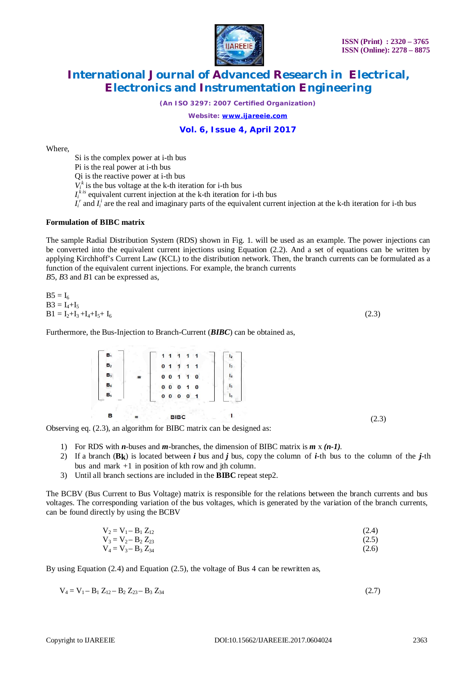

*(An ISO 3297: 2007 Certified Organization)*

*Website: [www.ijareeie.com](http://www.ijareeie.com)*

### **Vol. 6, Issue 4, April 2017**

Where,

Si is the complex power at i-th bus

Pi is the real power at i-th bus

Qi is the reactive power at i-th bus

 $V_i^k$  is the bus voltage at the k-th iteration for i-th bus

 $I_i^{k}$  equivalent current injection at the k-th iteration for i-th bus

 $I_i^r$  and  $I_i^i$  are the real and imaginary parts of the equivalent current injection at the k-th iteration for i-th bus

### **Formulation of BIBC matrix**

The sample Radial Distribution System (RDS) shown in Fig. 1. will be used as an example. The power injections can be converted into the equivalent current injections using Equation (2.2). And a set of equations can be written by applying Kirchhoff's Current Law (KCL) to the distribution network. Then, the branch currents can be formulated as a function of the equivalent current injections. For example, the branch currents

*B*5, *B*3 and *B*1 can be expressed as,

| $B5 = I_6$                 |       |
|----------------------------|-------|
| $B3 = I_4 + I_5$           |       |
| $B1 = I_2+I_3+I_4+I_5+I_6$ | (2.3) |

Furthermore, the Bus-Injection to Branch-Current (*BIBC*) can be obtained as,

| $B_1$          |   | 1 <sub>1</sub>                         | -1                   | 12             |
|----------------|---|----------------------------------------|----------------------|----------------|
| B <sub>2</sub> |   | 0 <sub>1</sub><br>$\blacktriangleleft$ | $\blacktriangleleft$ | I <sub>3</sub> |
| $B_3$          | ÷ | $0 \t 0 \t 1$                          | 1 <sub>0</sub>       | $I_4$          |
| $B_4$          |   | $0\quad 0\quad 0$                      | 1 <sub>0</sub>       | I <sub>5</sub> |
| B <sub>5</sub> |   | $0\quad 0\quad 0$                      | $\bf{0}$<br>1        | 1 <sub>6</sub> |

Observing eq. (2.3), an algorithm for BIBC matrix can be designed as:

- 1) For RDS with *n*-buses and *m*-branches, the dimension of BIBC matrix is *m* x *(n-1).*
- 2) If a branch  $(B_k)$  is located between *i* bus and *j* bus, copy the column of *i*-th bus to the column of the *j*-th bus and mark +1 in position of kth row and jth column.
- 3) Until all branch sections are included in the **BIBC** repeat step2.

The BCBV (Bus Current to Bus Voltage) matrix is responsible for the relations between the branch currents and bus voltages. The corresponding variation of the bus voltages, which is generated by the variation of the branch currents, can be found directly by using the BCBV

$$
V_2 = V_1 - B_1 Z_{12}
$$
  
\n
$$
V_3 = V_2 - B_2 Z_{23}
$$
\n(2.4)  
\n(2.5)

$$
V_4 = V_3 - B_3 Z_{34} \tag{2.6}
$$

By using Equation (2.4) and Equation (2.5), the voltage of Bus 4 can be rewritten as,

$$
V_4 = V_1 - B_1 Z_{12} - B_2 Z_{23} - B_3 Z_{34}
$$
 (2.7)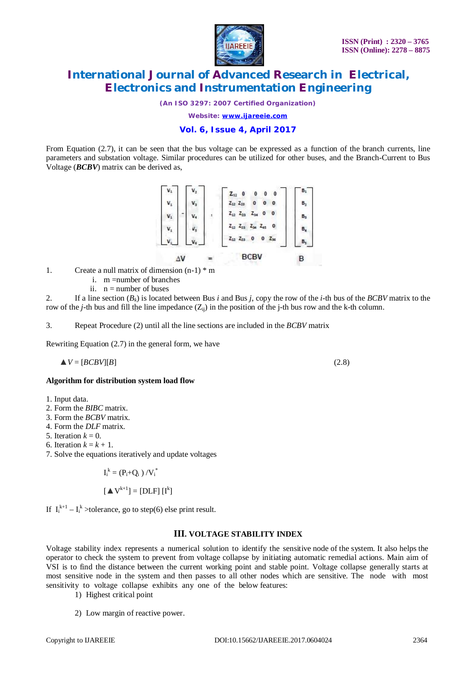

*(An ISO 3297: 2007 Certified Organization)*

*Website: [www.ijareeie.com](http://www.ijareeie.com)*

### **Vol. 6, Issue 4, April 2017**

From Equation (2.7), it can be seen that the bus voltage can be expressed as a function of the branch currents, line parameters and substation voltage. Similar procedures can be utilized for other buses, and the Branch-Current to Bus Voltage (*BCBV*) matrix can be derived as,



- 1. Create a null matrix of dimension (n-1) \* m
	- i. m =number of branches
	- ii.  $n =$  number of buses

2. If a line section  $(B_k)$  is located between Bus *i* and Bus *j*, copy the row of the *i*-th bus of the *BCBV* matrix to the row of the *j*-th bus and fill the line impedance  $(Z_{ij})$  in the position of the *j*-th bus row and the k-th column.

3. Repeat Procedure (2) until all the line sections are included in the *BCBV* matrix

Rewriting Equation (2.7) in the general form, we have

$$
\Delta V = [BCBV][B] \tag{2.8}
$$

### **Algorithm for distribution system load flow**

- 1. Input data.
- 2. Form the *BIBC* matrix.
- 3. Form the *BCBV* matrix.
- 4. Form the *DLF* matrix.
- 5. Iteration  $k = 0$ .
- 6. Iteration  $k = k + 1$ .
- 7. Solve the equations iteratively and update voltages

$$
I_i^{\,k} = \left(P_i{+}Q_i\ \right)/{V_i}^*
$$

$$
[\blacktriangle V^{k+1}] = [DLF] [I^k]
$$

If  $I_i^{k+1} - I_i^k$  >tolerance, go to step(6) else print result.

### **III. VOLTAGE STABILITY INDEX**

Voltage stability index represents a numerical solution to identify the sensitive node of the system. It also helps the operator to check the system to prevent from voltage collapse by initiating automatic remedial actions. Main aim of VSI is to find the distance between the current working point and stable point. Voltage collapse generally starts at most sensitive node in the system and then passes to all other nodes which are sensitive. The node with most sensitivity to voltage collapse exhibits any one of the below features:

- 1) Highest critical point
- 2) Low margin of reactive power.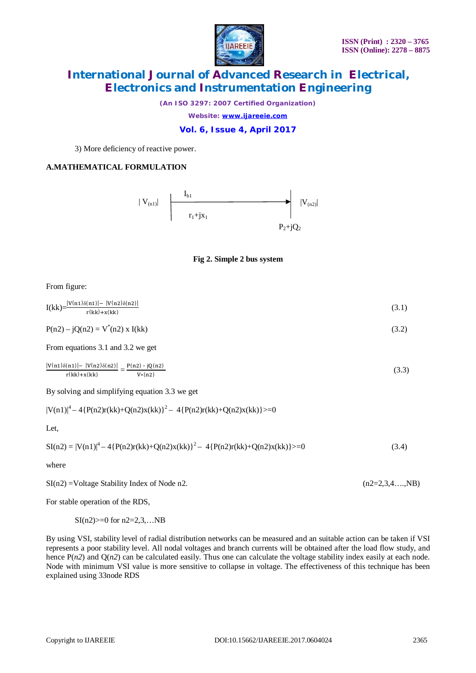

*(An ISO 3297: 2007 Certified Organization) Website: [www.ijareeie.com](http://www.ijareeie.com)*

**Vol. 6, Issue 4, April 2017**

3) More deficiency of reactive power.

# **A.MATHEMATICAL FORMULATION**





From figure:

| $I(kk)=\frac{ V(n1)\delta(n1) - V(n2)\delta(n2) }{(1!) \cdot (1!)}$<br>$r(kk)+x(kk)$ | (3.1) |
|--------------------------------------------------------------------------------------|-------|
|                                                                                      |       |

$$
P(n2) - jQ(n2) = V*(n2) x I(kk)
$$
\n(3.2)

From equations 3.1 and 3.2 we get

 $|V(n1)\delta(n1)| - |V(n2)\delta(n2)|$  $\frac{|\mathbf{n}1| - |\mathbf{V}(\mathbf{n}2)\delta(\mathbf{n}2)|}{\mathbf{r}(\mathbf{k}) + \mathbf{x}(\mathbf{k})} = \frac{\mathbf{P}(\mathbf{n}2) - \mathbf{j}\mathbf{Q}(\mathbf{n}2)}{\mathbf{V}*(\mathbf{n}2)}$ V∗(n2)  $(3.3)$ 

By solving and simplifying equation 3.3 we get

 $|V(n1)|^4 - 4\{P(n2)r(kk) + Q(n2)x(kk)\}^2 - 4\{P(n2)r(kk) + Q(n2)x(kk)\} > = 0$ 

Let,

$$
SI(n2) = |V(n1)|^4 - 4\{P(n2)r(kk) + Q(n2)x(kk)\}^2 - 4\{P(n2)r(kk) + Q(n2)x(kk)\} > = 0
$$
\n(3.4)

where

 $S1(n2) = Voltage Stability Index of Node n2.$  (n2=2,3,4...,NB)

For stable operation of the RDS,

 $SI(n2)>=0$  for  $n2=2,3,...NB$ 

By using VSI, stability level of radial distribution networks can be measured and an suitable action can be taken if VSI represents a poor stability level. All nodal voltages and branch currents will be obtained after the load flow study, and hence  $P(n2)$  and  $Q(n2)$  can be calculated easily. Thus one can calculate the voltage stability index easily at each node. Node with minimum VSI value is more sensitive to collapse in voltage. The effectiveness of this technique has been explained using 33node RDS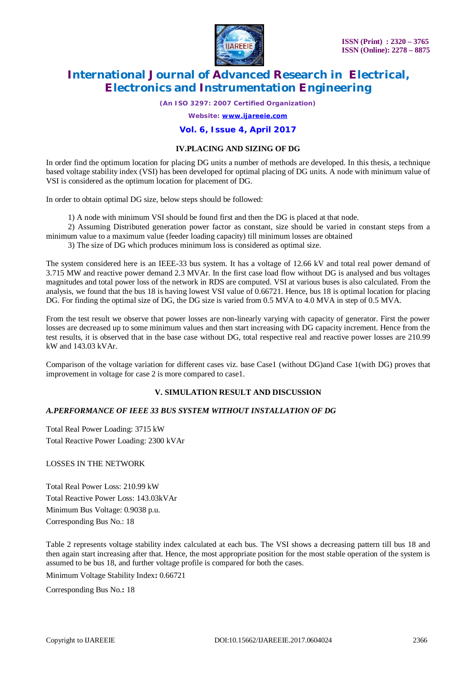

*(An ISO 3297: 2007 Certified Organization)*

*Website: [www.ijareeie.com](http://www.ijareeie.com)*

### **Vol. 6, Issue 4, April 2017**

### **IV.PLACING AND SIZING OF DG**

In order find the optimum location for placing DG units a number of methods are developed. In this thesis, a technique based voltage stability index (VSI) has been developed for optimal placing of DG units. A node with minimum value of VSI is considered as the optimum location for placement of DG.

In order to obtain optimal DG size, below steps should be followed:

1) A node with minimum VSI should be found first and then the DG is placed at that node.

2) Assuming Distributed generation power factor as constant, size should be varied in constant steps from a minimum value to a maximum value (feeder loading capacity) till minimum losses are obtained

3) The size of DG which produces minimum loss is considered as optimal size.

The system considered here is an IEEE-33 bus system. It has a voltage of 12.66 kV and total real power demand of 3.715 MW and reactive power demand 2.3 MVAr. In the first case load flow without DG is analysed and bus voltages magnitudes and total power loss of the network in RDS are computed. VSI at various buses is also calculated. From the analysis, we found that the bus 18 is having lowest VSI value of 0.66721. Hence, bus 18 is optimal location for placing DG. For finding the optimal size of DG, the DG size is varied from 0.5 MVA to 4.0 MVA in step of 0.5 MVA.

From the test result we observe that power losses are non-linearly varying with capacity of generator. First the power losses are decreased up to some minimum values and then start increasing with DG capacity increment. Hence from the test results, it is observed that in the base case without DG, total respective real and reactive power losses are 210.99 kW and 143.03 kVAr.

Comparison of the voltage variation for different cases viz. base Case1 (without DG)and Case 1(with DG) proves that improvement in voltage for case 2 is more compared to case1.

## **V. SIMULATION RESULT AND DISCUSSION**

### *A.PERFORMANCE OF IEEE 33 BUS SYSTEM WITHOUT INSTALLATION OF DG*

Total Real Power Loading: 3715 kW Total Reactive Power Loading: 2300 kVAr

LOSSES IN THE NETWORK

Total Real Power Loss: 210.99 kW Total Reactive Power Loss: 143.03kVAr Minimum Bus Voltage: 0.9038 p.u. Corresponding Bus No.: 18

Table 2 represents voltage stability index calculated at each bus. The VSI shows a decreasing pattern till bus 18 and then again start increasing after that. Hence, the most appropriate position for the most stable operation of the system is assumed to be bus 18, and further voltage profile is compared for both the cases.

Minimum Voltage Stability Index**:** 0.66721

Corresponding Bus No.**:** 18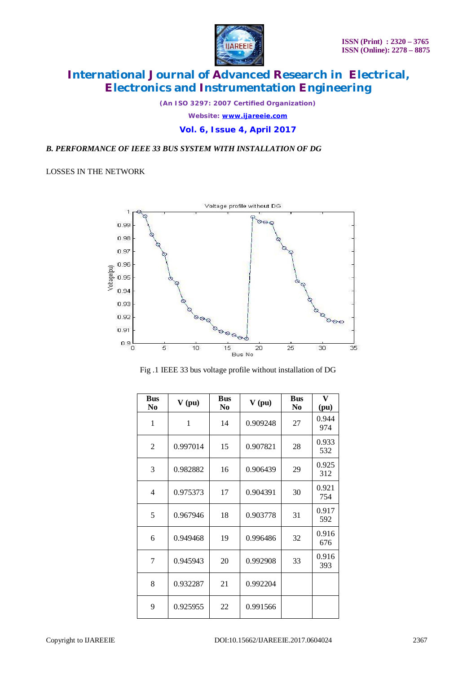

*(An ISO 3297: 2007 Certified Organization) Website: [www.ijareeie.com](http://www.ijareeie.com)* **Vol. 6, Issue 4, April 2017**

# *B. PERFORMANCE OF IEEE 33 BUS SYSTEM WITH INSTALLATION OF DG*

LOSSES IN THE NETWORK



Fig .1 IEEE 33 bus voltage profile without installation of DG

| <b>Bus</b><br>No | V(pu)    | <b>Bus</b><br>N <sub>0</sub> | V(pu)    | <b>Bus</b><br>N <sub>0</sub> | $\mathbf{V}$<br>(pu) |
|------------------|----------|------------------------------|----------|------------------------------|----------------------|
| 1                | 1        | 14                           | 0.909248 | 27                           | 0.944<br>974         |
| $\mathfrak{2}$   | 0.997014 | 15                           | 0.907821 | 28                           | 0.933<br>532         |
| 3                | 0.982882 | 16                           | 0.906439 | 29                           | 0.925<br>312         |
| 4                | 0.975373 | 17                           | 0.904391 | 30                           | 0.921<br>754         |
| 5                | 0.967946 | 18                           | 0.903778 | 31                           | 0.917<br>592         |
| 6                | 0.949468 | 19                           | 0.996486 | 32                           | 0.916<br>676         |
| 7                | 0.945943 | 20                           | 0.992908 | 33                           | 0.916<br>393         |
| 8                | 0.932287 | 21                           | 0.992204 |                              |                      |
| 9                | 0.925955 | 22                           | 0.991566 |                              |                      |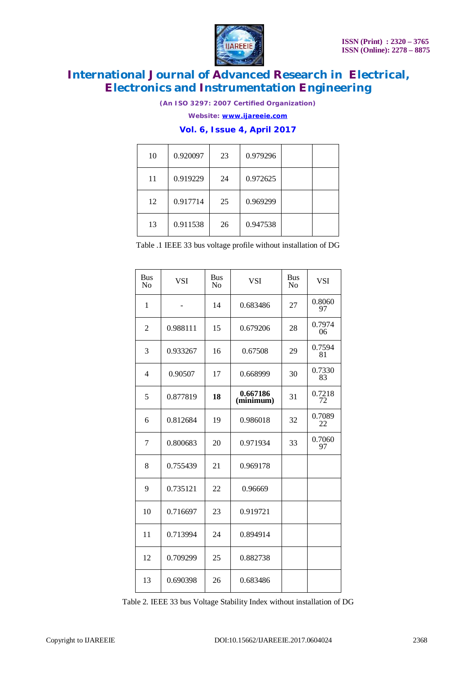

*(An ISO 3297: 2007 Certified Organization)*

*Website: [www.ijareeie.com](http://www.ijareeie.com)*

# **Vol. 6, Issue 4, April 2017**

| 10 | 0.920097 | 23 | 0.979296 |  |
|----|----------|----|----------|--|
| 11 | 0.919229 | 24 | 0.972625 |  |
| 12 | 0.917714 | 25 | 0.969299 |  |
| 13 | 0.911538 | 26 | 0.947538 |  |

Table .1 IEEE 33 bus voltage profile without installation of DG

| <b>Bus</b><br>N <sub>0</sub> | <b>VSI</b> | <b>Bus</b><br>N <sub>0</sub> | VSI                   | <b>Bus</b><br>No | <b>VSI</b>   |
|------------------------------|------------|------------------------------|-----------------------|------------------|--------------|
| 1                            | -          | 14                           | 0.683486              | 27               | 0.8060<br>97 |
| $\overline{2}$               | 0.988111   | 15                           | 0.679206              | 28               | 0.7974<br>06 |
| 3                            | 0.933267   | 16                           | 0.67508               | 29               | 0.7594<br>81 |
| $\overline{4}$               | 0.90507    | 17                           | 0.668999              | 30               | 0.7330<br>83 |
| 5                            | 0.877819   | 18                           | 0.667186<br>(minimum) | 31               | 0.7218<br>72 |
| 6                            | 0.812684   | 19                           | 0.986018              | 32               | 0.7089<br>22 |
| 7                            | 0.800683   | 20                           | 0.971934              | 33               | 0.7060<br>97 |
| 8                            | 0.755439   | 21                           | 0.969178              |                  |              |
| 9                            | 0.735121   | 22                           | 0.96669               |                  |              |
| 10                           | 0.716697   | 23                           | 0.919721              |                  |              |
| 11                           | 0.713994   | 24                           | 0.894914              |                  |              |
| 12                           | 0.709299   | 25                           | 0.882738              |                  |              |
| 13                           | 0.690398   | 26                           | 0.683486              |                  |              |

Table 2. IEEE 33 bus Voltage Stability Index without installation of DG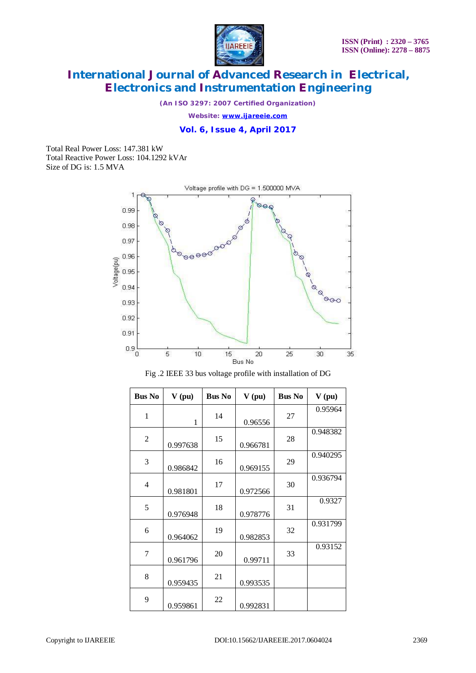

*(An ISO 3297: 2007 Certified Organization)*

*Website: [www.ijareeie.com](http://www.ijareeie.com)*

**Vol. 6, Issue 4, April 2017**

Total Real Power Loss: 147.381 kW Total Reactive Power Loss: 104.1292 kVAr Size of DG is: 1.5 MVA





| <b>Bus No</b>  | V(pu)        | <b>Bus No</b> | V(pu)    | <b>Bus No</b> | V(pu)    |
|----------------|--------------|---------------|----------|---------------|----------|
| $\mathbf{1}$   | $\mathbf{1}$ | 14            | 0.96556  | 27            | 0.95964  |
| $\overline{2}$ | 0.997638     | 15            | 0.966781 | 28            | 0.948382 |
| 3              | 0.986842     | 16            | 0.969155 | 29            | 0.940295 |
| 4              | 0.981801     | 17            | 0.972566 | 30            | 0.936794 |
| 5              | 0.976948     | 18            | 0.978776 | 31            | 0.9327   |
| 6              | 0.964062     | 19            | 0.982853 | 32            | 0.931799 |
| 7              | 0.961796     | 20            | 0.99711  | 33            | 0.93152  |
| 8              | 0.959435     | 21            | 0.993535 |               |          |
| 9              | 0.959861     | 22            | 0.992831 |               |          |